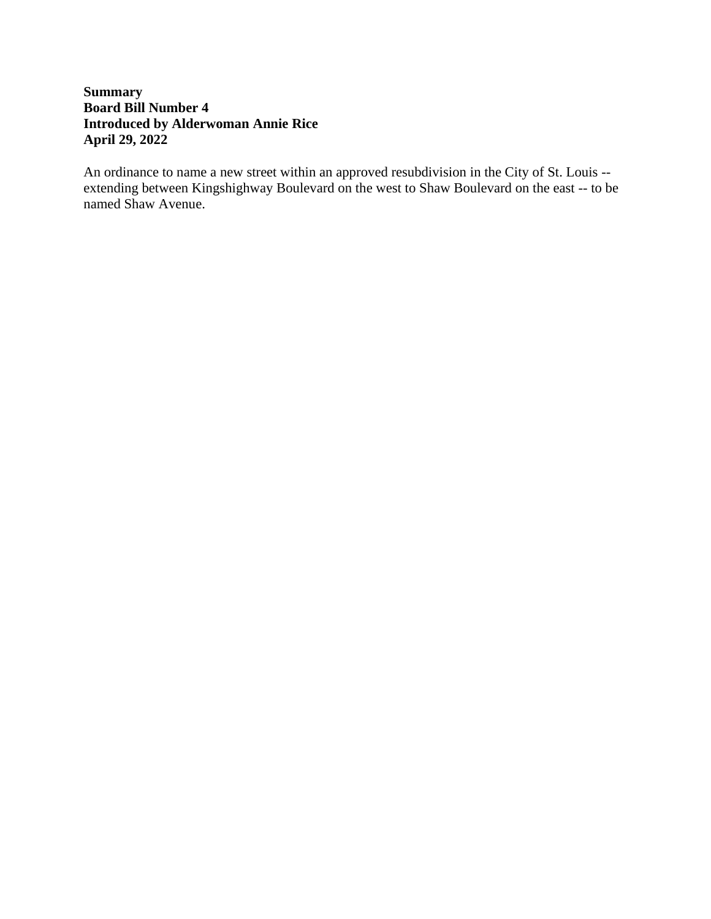## **Summary Board Bill Number 4 Introduced by Alderwoman Annie Rice April 29, 2022**

An ordinance to name a new street within an approved resubdivision in the City of St. Louis - extending between Kingshighway Boulevard on the west to Shaw Boulevard on the east -- to be named Shaw Avenue.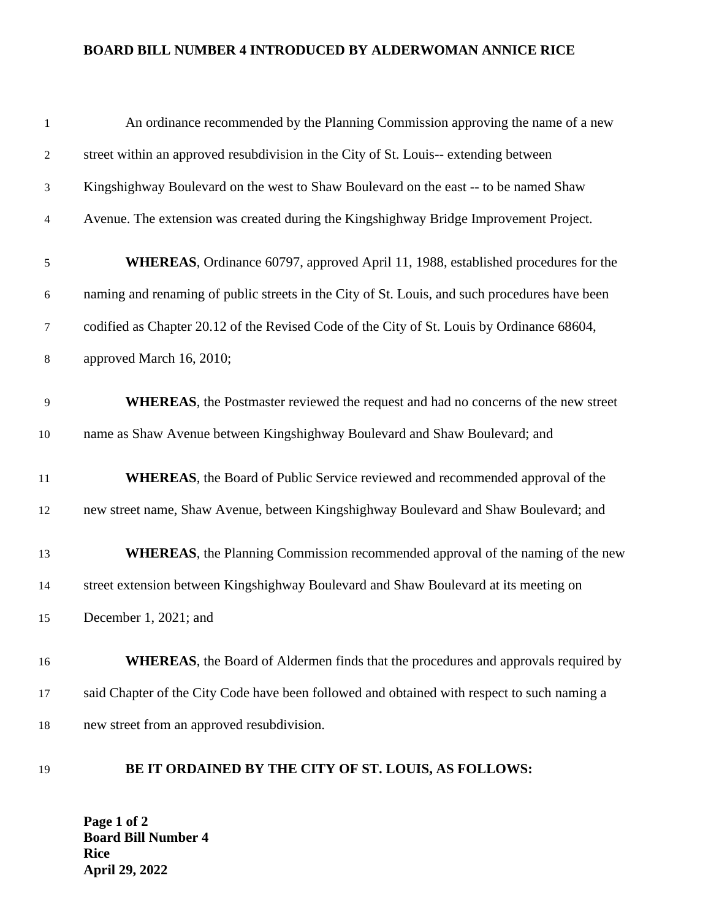#### **BOARD BILL NUMBER 4 INTRODUCED BY ALDERWOMAN ANNICE RICE**

| $\mathbf{1}$   | An ordinance recommended by the Planning Commission approving the name of a new               |
|----------------|-----------------------------------------------------------------------------------------------|
| $\overline{c}$ | street within an approved resubdivision in the City of St. Louis-- extending between          |
| 3              | Kingshighway Boulevard on the west to Shaw Boulevard on the east -- to be named Shaw          |
| 4              | Avenue. The extension was created during the Kingshighway Bridge Improvement Project.         |
| $\sqrt{5}$     | WHEREAS, Ordinance 60797, approved April 11, 1988, established procedures for the             |
| 6              | naming and renaming of public streets in the City of St. Louis, and such procedures have been |
| $\tau$         | codified as Chapter 20.12 of the Revised Code of the City of St. Louis by Ordinance 68604,    |
| $8\phantom{1}$ | approved March 16, 2010;                                                                      |
| 9              | <b>WHEREAS</b> , the Postmaster reviewed the request and had no concerns of the new street    |
| 10             | name as Shaw Avenue between Kingshighway Boulevard and Shaw Boulevard; and                    |
| 11             | <b>WHEREAS</b> , the Board of Public Service reviewed and recommended approval of the         |
| 12             | new street name, Shaw Avenue, between Kingshighway Boulevard and Shaw Boulevard; and          |
| 13             | <b>WHEREAS</b> , the Planning Commission recommended approval of the naming of the new        |
| 14             | street extension between Kingshighway Boulevard and Shaw Boulevard at its meeting on          |
| 15             | December 1, 2021; and                                                                         |
| 16             | <b>WHEREAS</b> , the Board of Aldermen finds that the procedures and approvals required by    |
| 17             | said Chapter of the City Code have been followed and obtained with respect to such naming a   |
| 18             | new street from an approved resubdivision.                                                    |

# **BE IT ORDAINED BY THE CITY OF ST. LOUIS, AS FOLLOWS:**

**Page 1 of 2 Board Bill Number 4 Rice April 29, 2022**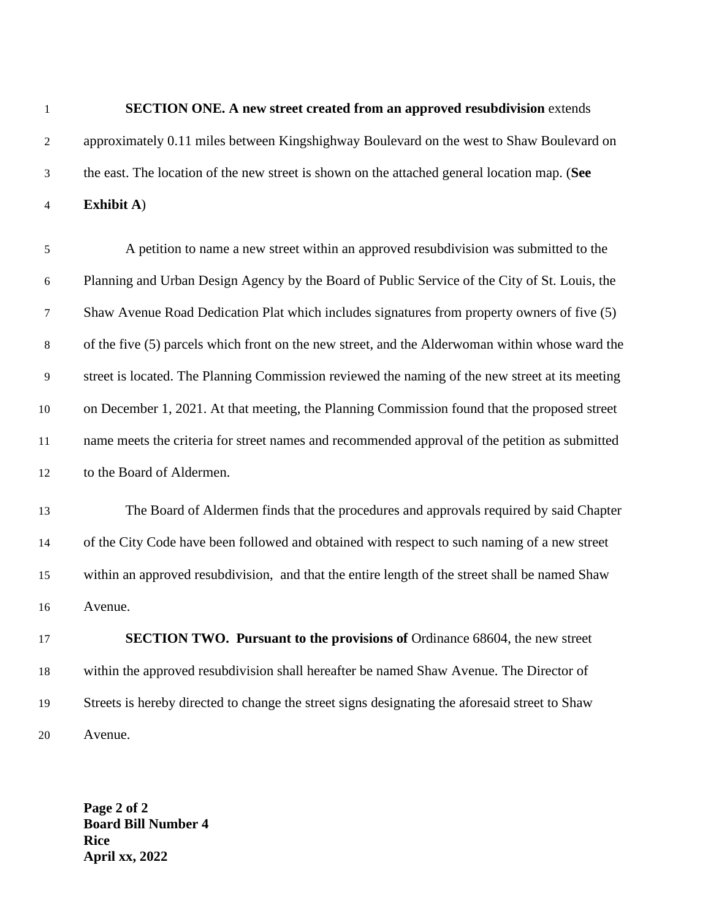#### **SECTION ONE. A new street created from an approved resubdivision** extends

- approximately 0.11 miles between Kingshighway Boulevard on the west to Shaw Boulevard on the east. The location of the new street is shown on the attached general location map. (**See**
- **Exhibit A**)

 A petition to name a new street within an approved resubdivision was submitted to the Planning and Urban Design Agency by the Board of Public Service of the City of St. Louis, the Shaw Avenue Road Dedication Plat which includes signatures from property owners of five (5) of the five (5) parcels which front on the new street, and the Alderwoman within whose ward the street is located. The Planning Commission reviewed the naming of the new street at its meeting on December 1, 2021. At that meeting, the Planning Commission found that the proposed street name meets the criteria for street names and recommended approval of the petition as submitted to the Board of Aldermen.

 The Board of Aldermen finds that the procedures and approvals required by said Chapter of the City Code have been followed and obtained with respect to such naming of a new street within an approved resubdivision, and that the entire length of the street shall be named Shaw Avenue.

 **SECTION TWO. Pursuant to the provisions of** Ordinance 68604, the new street within the approved resubdivision shall hereafter be named Shaw Avenue. The Director of Streets is hereby directed to change the street signs designating the aforesaid street to Shaw Avenue.

**Page 2 of 2 Board Bill Number 4 Rice April xx, 2022**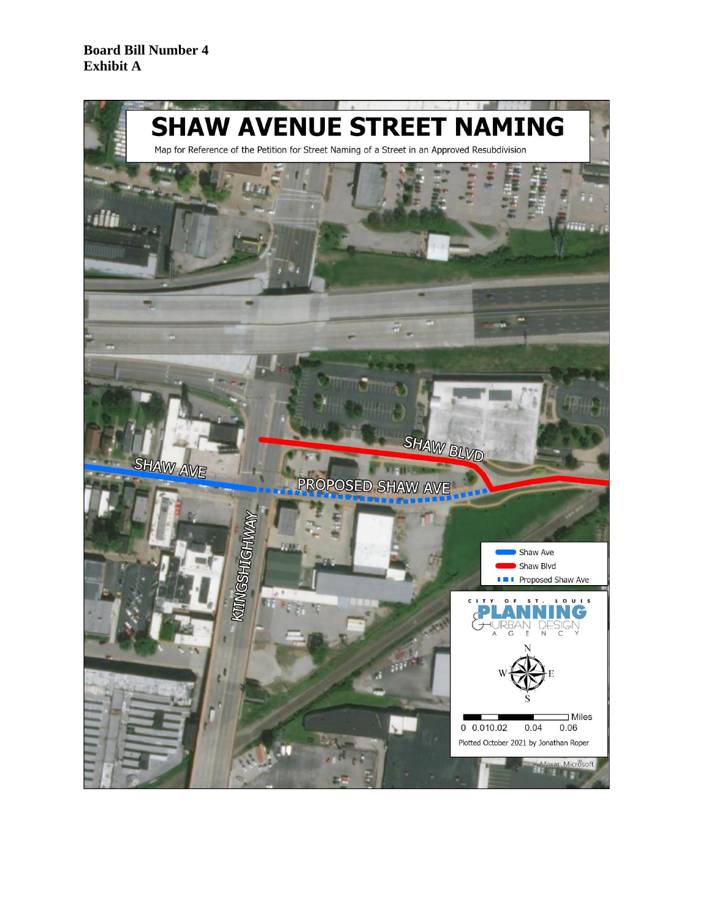#### **Board Bill Number 4 Exhibit A**

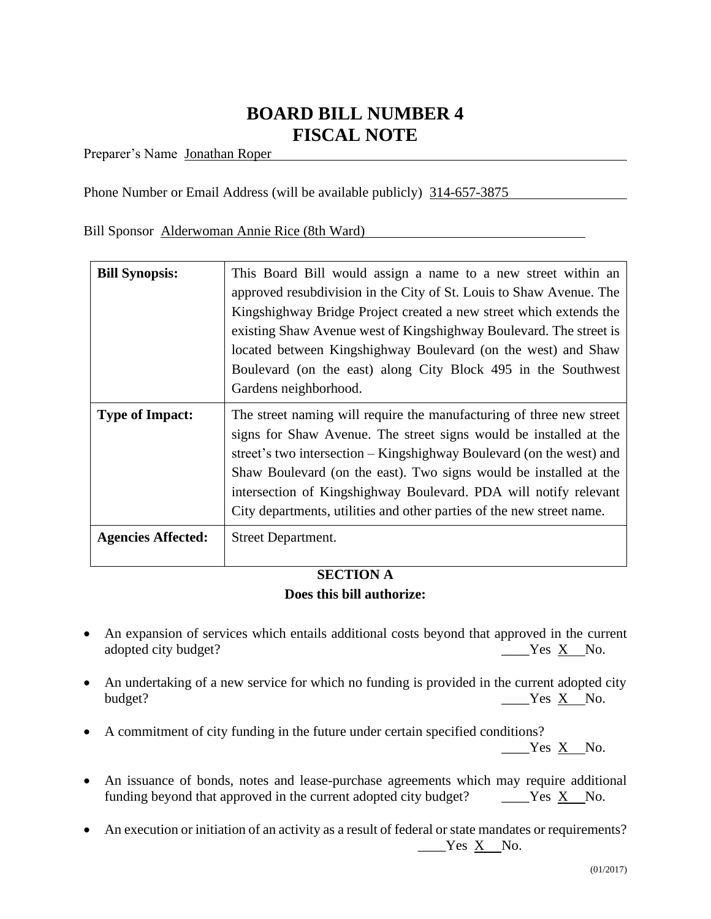# **BOARD BILL NUMBER 4 FISCAL NOTE**

Preparer's Name Jonathan Roper

Phone Number or Email Address (will be available publicly) 314-657-3875

Bill Sponsor Alderwoman Annie Rice (8th Ward)

| <b>Bill Synopsis:</b>     | This Board Bill would assign a name to a new street within an<br>approved resubdivision in the City of St. Louis to Shaw Avenue. The<br>Kingshighway Bridge Project created a new street which extends the<br>existing Shaw Avenue west of Kingshighway Boulevard. The street is<br>located between Kingshighway Boulevard (on the west) and Shaw<br>Boulevard (on the east) along City Block 495 in the Southwest<br>Gardens neighborhood. |
|---------------------------|---------------------------------------------------------------------------------------------------------------------------------------------------------------------------------------------------------------------------------------------------------------------------------------------------------------------------------------------------------------------------------------------------------------------------------------------|
| <b>Type of Impact:</b>    | The street naming will require the manufacturing of three new street<br>signs for Shaw Avenue. The street signs would be installed at the<br>street's two intersection – Kingshighway Boulevard (on the west) and<br>Shaw Boulevard (on the east). Two signs would be installed at the<br>intersection of Kingshighway Boulevard. PDA will notify relevant<br>City departments, utilities and other parties of the new street name.         |
| <b>Agencies Affected:</b> | Street Department.                                                                                                                                                                                                                                                                                                                                                                                                                          |

## **SECTION A Does this bill authorize:**

- An expansion of services which entails additional costs beyond that approved in the current adopted city budget?  $\qquad \qquad \qquad \qquad \qquad \qquad \qquad \qquad \qquad \qquad \qquad \qquad \text{Yes } X \qquad \text{No.}$
- An undertaking of a new service for which no funding is provided in the current adopted city budget?  $\qquad \qquad \qquad \qquad \qquad \qquad \qquad \qquad \qquad \qquad \qquad \text{Yes } X \quad No.$
- A commitment of city funding in the future under certain specified conditions?

 $Yes \underline{X}$  No.

- An issuance of bonds, notes and lease-purchase agreements which may require additional funding beyond that approved in the current adopted city budget? \_\_\_\_\_Yes  $X$  No.
- An execution or initiation of an activity as a result of federal or state mandates or requirements? \_\_\_\_Yes X No.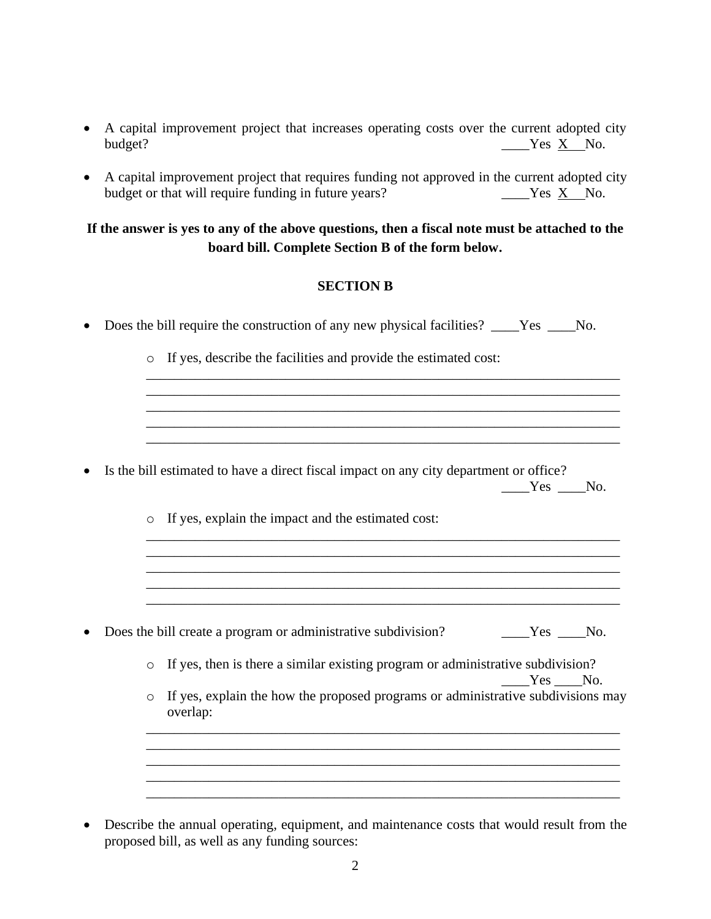- A capital improvement project that increases operating costs over the current adopted city budget?  $\qquad \qquad \qquad \qquad \qquad \qquad \qquad \qquad \qquad \qquad \text{Yes } X \quad No.$
- A capital improvement project that requires funding not approved in the current adopted city budget or that will require funding in future years?  $Y^2$   $Y^2$   $Y^2$   $Y^2$   $Y^3$  No.

## **If the answer is yes to any of the above questions, then a fiscal note must be attached to the board bill. Complete Section B of the form below.**

## **SECTION B**

| Does the bill require the construction of any new physical facilities? ____Yes ___No.                   |  |
|---------------------------------------------------------------------------------------------------------|--|
| o If yes, describe the facilities and provide the estimated cost:                                       |  |
|                                                                                                         |  |
| Is the bill estimated to have a direct fiscal impact on any city department or office?<br>$Yes$ No.     |  |
| If yes, explain the impact and the estimated cost:<br>$\circ$                                           |  |
|                                                                                                         |  |
| Does the bill create a program or administrative subdivision?<br>Yes No.                                |  |
| o If yes, then is there a similar existing program or administrative subdivision?<br>Yes No.            |  |
| If yes, explain the how the proposed programs or administrative subdivisions may<br>$\circ$<br>overlap: |  |
|                                                                                                         |  |
|                                                                                                         |  |

• Describe the annual operating, equipment, and maintenance costs that would result from the proposed bill, as well as any funding sources: